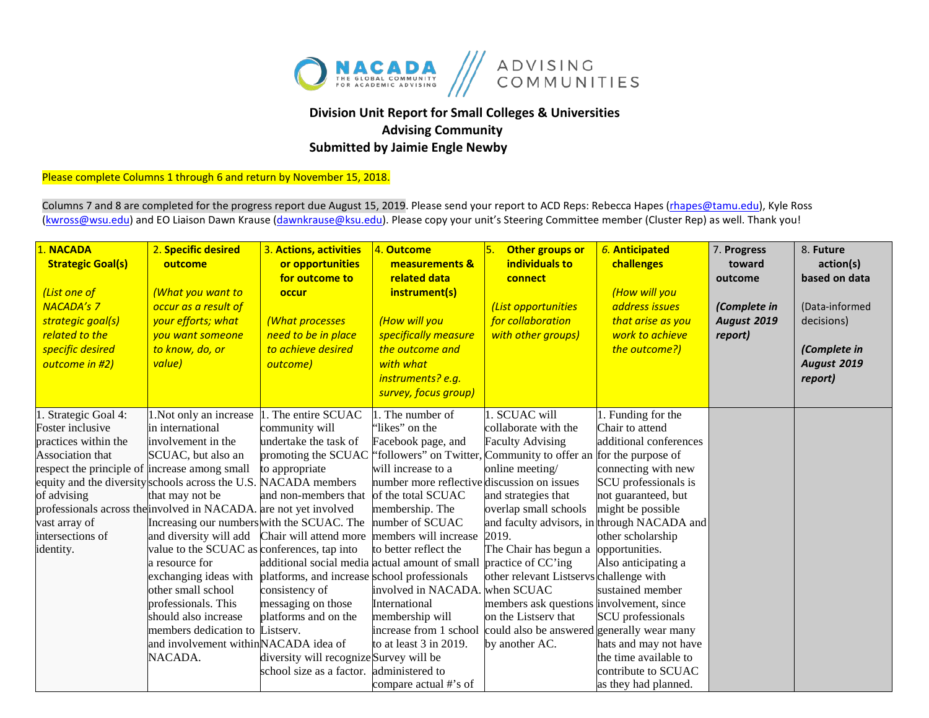

## **Division Unit Report for Small Colleges & Universities Advising Community Submitted by Jaimie Engle Newby**

Please complete Columns 1 through 6 and return by November 15, 2018.

Columns 7 and 8 are completed for the progress report due August 15, 2019. Please send your report to ACD Reps: Rebecca Hapes (rhapes@tamu.edu), Kyle Ross [\(kwross@wsu.edu\)](mailto:kwross@wsu.edu) and EO Liaison Dawn Krause (dawnkrause@ksu.edu). Please copy your unit's Steering Committee member (Cluster Rep) as well. Thank you!

| 1. NACADA<br><b>Strategic Goal(s)</b><br>(List one of<br><b>NACADA's 7</b><br>strategic goal(s)<br>related to the<br>specific desired<br>outcome in #2)                                                | 2. Specific desired<br>outcome<br>(What you want to<br>occur as a result of<br>your efforts; what<br>you want someone<br>to know, do, or<br>value)                                                                                                                                                                                                                                                                                                                                                                                                                                                                 | 3. Actions, activities<br>or opportunities<br>for outcome to<br>occur<br>(What processes<br>need to be in place<br>to achieve desired<br>outcome)                                                                                                                                                                                                           | 4. Outcome<br>measurements &<br>related data<br>instrument(s)<br>(How will you<br>specifically measure<br>the outcome and<br>with what<br>instruments? e.g.<br>survey, focus group)                                                                                                                                                                                          | <b>5</b><br>Other groups or<br>individuals to<br>connect<br>(List opportunities<br>for collaboration<br>with other groups)                                                                                                                                                                                                                                                                                                                                                          | 6. Anticipated<br>challenges<br>(How will you<br>address issues<br>that arise as you<br>work to achieve<br>the outcome?)                                                                                                                                                                                                                                                                                          | 7. Progress<br>toward<br>outcome<br>(Complete in<br><b>August 2019</b><br>report) | 8. Future<br>action(s)<br>based on data<br>(Data-informed<br>decisions)<br>(Complete in<br>August 2019<br>report) |
|--------------------------------------------------------------------------------------------------------------------------------------------------------------------------------------------------------|--------------------------------------------------------------------------------------------------------------------------------------------------------------------------------------------------------------------------------------------------------------------------------------------------------------------------------------------------------------------------------------------------------------------------------------------------------------------------------------------------------------------------------------------------------------------------------------------------------------------|-------------------------------------------------------------------------------------------------------------------------------------------------------------------------------------------------------------------------------------------------------------------------------------------------------------------------------------------------------------|------------------------------------------------------------------------------------------------------------------------------------------------------------------------------------------------------------------------------------------------------------------------------------------------------------------------------------------------------------------------------|-------------------------------------------------------------------------------------------------------------------------------------------------------------------------------------------------------------------------------------------------------------------------------------------------------------------------------------------------------------------------------------------------------------------------------------------------------------------------------------|-------------------------------------------------------------------------------------------------------------------------------------------------------------------------------------------------------------------------------------------------------------------------------------------------------------------------------------------------------------------------------------------------------------------|-----------------------------------------------------------------------------------|-------------------------------------------------------------------------------------------------------------------|
| 1. Strategic Goal 4:<br>Foster inclusive<br>practices within the<br>Association that<br>respect the principle of increase among small<br>of advising<br>vast array of<br>intersections of<br>identity. | 1. Not only an increase<br>in international<br>involvement in the<br>SCUAC, but also an<br>equity and the diversity schools across the U.S. NACADA members<br>that may not be<br>professionals across the involved in NACADA. are not yet involved<br>Increasing our numbers with the SCUAC. The<br>and diversity will add<br>value to the SCUAC as conferences, tap into<br>a resource for<br>exchanging ideas with platforms, and increase school professionals<br>other small school<br>professionals. This<br>should also increase<br>members dedication to<br>and involvement withinNACADA idea of<br>NACADA. | 1. The entire SCUAC<br>community will<br>undertake the task of<br>to appropriate<br>and non-members that<br>Chair will attend more<br>additional social media actual amount of small practice of CC'ing<br>consistency of<br>messaging on those<br>platforms and on the<br>Listserv.<br>diversity will recognize Survey will be<br>school size as a factor. | 1. The number of<br>"likes" on the<br>Facebook page, and<br>will increase to a<br>number more reflective discussion on issues<br>of the total SCUAC<br>membership. The<br>number of SCUAC<br>members will increase<br>to better reflect the<br>involved in NACADA.<br>International<br>membership will<br>to at least 3 in 2019.<br>administered to<br>compare actual #'s of | 1. SCUAC will<br>collaborate with the<br><b>Faculty Advising</b><br>promoting the SCUAC   'followers' on Twitter, Community to offer an for the purpose of<br>online meeting/<br>and strategies that<br>overlap small schools<br>2019.<br>The Chair has begun a<br>other relevant Listservs challenge with<br>when SCUAC<br>members ask questions involvement, since<br>on the Listserv that<br>increase from 1 school could also be answered generally wear many<br>by another AC. | 1. Funding for the<br>Chair to attend<br>additional conferences<br>connecting with new<br>SCU professionals is<br>not guaranteed, but<br>might be possible<br>and faculty advisors, in through NACADA and<br>other scholarship<br>opportunities.<br>Also anticipating a<br>sustained member<br>SCU professionals<br>hats and may not have<br>the time available to<br>contribute to SCUAC<br>as they had planned. |                                                                                   |                                                                                                                   |